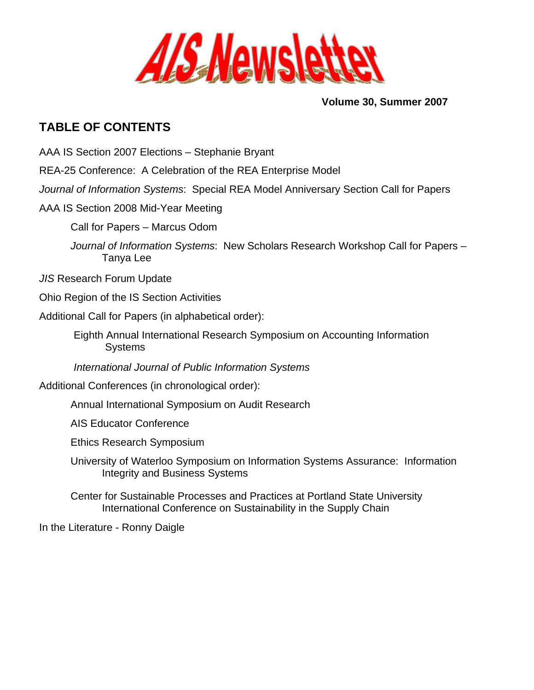

**Volume 30, Summer 2007** 

# <span id="page-0-0"></span>**TABLE OF CONTENTS**

- [AAA IS Section 2007 Elections Stephanie Bryant](#page-1-0)
- [REA-25 Conference: A Celebration of the REA Enterprise Model](#page-1-0)
- *Journal of Information Systems*[: Special REA Model Anniversary Section Call for Papers](#page-1-0)
- [AAA IS Section 2008 Mid-Year Meeting](#page-2-0) 
	- Call for Papers Marcus Odom
	- *Journal of Information Systems*[: New Scholars Research Workshop Call for Papers](#page-4-0)  Tanya Lee
- *JIS* [Research Forum Update](#page-5-0)
- [Ohio Region of the IS Section Activities](#page-5-0)
- Additional Call for Papers (in alphabetical order):
	- [Eighth Annual International Research Symposium on Accounting Information](#page-6-0)  **Systems**
	- *[International Journal of Public Information Systems](#page-8-0)*
- Additional Conferences (in chronological order):
	- [Annual International Symposium on Audit Research](#page-8-0)
	- [AIS Educator Conference](#page-9-0)
	- [Ethics Research Symposium](#page-10-0)
	- [University of Waterloo Symposium on Information Systems Assurance: Information](#page-11-0)  Integrity and Business Systems
	- [Center for Sustainable Processes and Practices at Portland State University](#page-12-0)  International Conference on Sustainability in the Supply Chain
- [In the Literature Ronny Daigle](#page-14-0)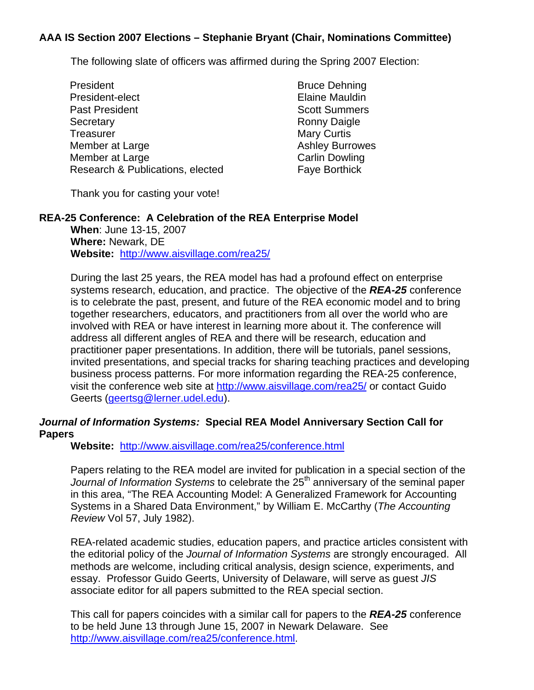## <span id="page-1-0"></span>**[AAA IS Section 2007 Elections – Stephanie Bryant \(Chair, Nominations Committee\)](#page-0-0)**

The following slate of officers was affirmed during the Spring 2007 Election:

President Bruce Dehning President-elect **Elaine Mauldin** Past President National Scott Summers Secretary **Ronny Daigle** Ronny Daigle Treasurer Mary Curtis Member at Large Ashley Burrowes Member at Large Carlin Dowling Research & Publications, elected Faye Borthick

Thank you for casting your vote!

## **REA-25 Conference: A Celebration of the REA Enterprise Model**

**When**: June 13-15, 2007 **Where:** Newark, DE **Website:** <http://www.aisvillage.com/rea25/>

During the last 25 years, the REA model has had a profound effect on enterprise systems research, education, and practice. The objective of the *REA-25* conference is to celebrate the past, present, and future of the REA economic model and to bring together researchers, educators, and practitioners from all over the world who are involved with REA or have interest in learning more about it. The conference will address all different angles of REA and there will be research, education and practitioner paper presentations. In addition, there will be tutorials, panel sessions, invited presentations, and special tracks for sharing teaching practices and developing business process patterns. For more information regarding the REA-25 conference, visit the conference web site at<http://www.aisvillage.com/rea25/> or contact Guido Geerts [\(geertsg@lerner.udel.edu\)](mailto:geertsg@lerner.udel.edu).

#### *Journal of Information Systems:* **Special REA Model Anniversary Section Call for Papers**

**Website:** <http://www.aisvillage.com/rea25/conference.html>

Papers relating to the REA model are invited for publication in a special section of the Journal of Information Systems to celebrate the 25<sup>th</sup> anniversary of the seminal paper in this area, "The REA Accounting Model: A Generalized Framework for Accounting Systems in a Shared Data Environment," by William E. McCarthy (*The Accounting Review* Vol 57, July 1982).

REA-related academic studies, education papers, and practice articles consistent with the editorial policy of the *Journal of Information Systems* are strongly encouraged. All methods are welcome, including critical analysis, design science, experiments, and essay. Professor Guido Geerts, University of Delaware, will serve as guest *JIS* associate editor for all papers submitted to the REA special section.

This call for papers coincides with a similar call for papers to the *REA-25* conference to be held June 13 through June 15, 2007 in Newark Delaware. See <http://www.aisvillage.com/rea25/conference.html>.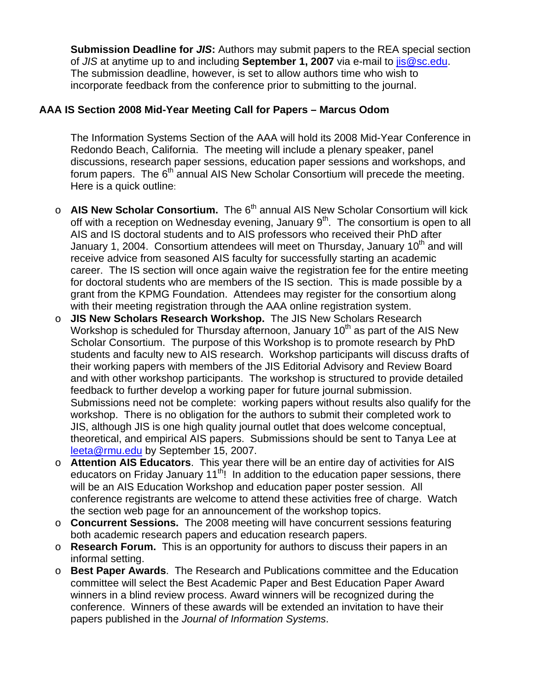<span id="page-2-0"></span>**Submission Deadline for** *JIS***:** Authors may submit papers to the REA special section of *JIS* at anytime up to and including **September 1, 2007** via e-mail to [jis@sc.edu](mailto:jis@sc.edu). The submission deadline, however, is set to allow authors time who wish to incorporate feedback from the conference prior to submitting to the journal.

## **[AAA IS Section 2008 Mid-Year Meeting Call for Papers – Marcus Odom](#page-1-0)**

The Information Systems Section of the AAA will hold its 2008 Mid-Year Conference in Redondo Beach, California. The meeting will include a plenary speaker, panel discussions, research paper sessions, education paper sessions and workshops, and forum papers. The  $6<sup>th</sup>$  annual AIS New Scholar Consortium will precede the meeting. Here is a quick outline:

- o **AIS New Scholar Consortium.** The 6<sup>th</sup> annual AIS New Scholar Consortium will kick off with a reception on Wednesday evening, January 9<sup>th</sup>. The consortium is open to all AIS and IS doctoral students and to AIS professors who received their PhD after January 1, 2004. Consortium attendees will meet on Thursday, January 10<sup>th</sup> and will receive advice from seasoned AIS faculty for successfully starting an academic career. The IS section will once again waive the registration fee for the entire meeting for doctoral students who are members of the IS section. This is made possible by a grant from the KPMG Foundation. Attendees may register for the consortium along with their meeting registration through the AAA online registration system.
- o **JIS New Scholars Research Workshop.** The JIS New Scholars Research Workshop is scheduled for Thursday afternoon, January  $10<sup>th</sup>$  as part of the AIS New Scholar Consortium. The purpose of this Workshop is to promote research by PhD students and faculty new to AIS research. Workshop participants will discuss drafts of their working papers with members of the JIS Editorial Advisory and Review Board and with other workshop participants. The workshop is structured to provide detailed feedback to further develop a working paper for future journal submission. Submissions need not be complete: working papers without results also qualify for the workshop. There is no obligation for the authors to submit their completed work to JIS, although JIS is one high quality journal outlet that does welcome conceptual, theoretical, and empirical AIS papers. Submissions should be sent to Tanya Lee at [leeta@rmu.edu](mailto:leeta@rmu.edu) by September 15, 2007.
- o **Attention AIS Educators**. This year there will be an entire day of activities for AIS educators on Friday January  $11<sup>th</sup>$ ! In addition to the education paper sessions, there will be an AIS Education Workshop and education paper poster session. All conference registrants are welcome to attend these activities free of charge. Watch the section web page for an announcement of the workshop topics.
- o **Concurrent Sessions.** The 2008 meeting will have concurrent sessions featuring both academic research papers and education research papers.
- o **Research Forum.** This is an opportunity for authors to discuss their papers in an informal setting.
- o **Best Paper Awards**. The Research and Publications committee and the Education committee will select the Best Academic Paper and Best Education Paper Award winners in a blind review process. Award winners will be recognized during the conference. Winners of these awards will be extended an invitation to have their papers published in the *Journal of Information Systems*.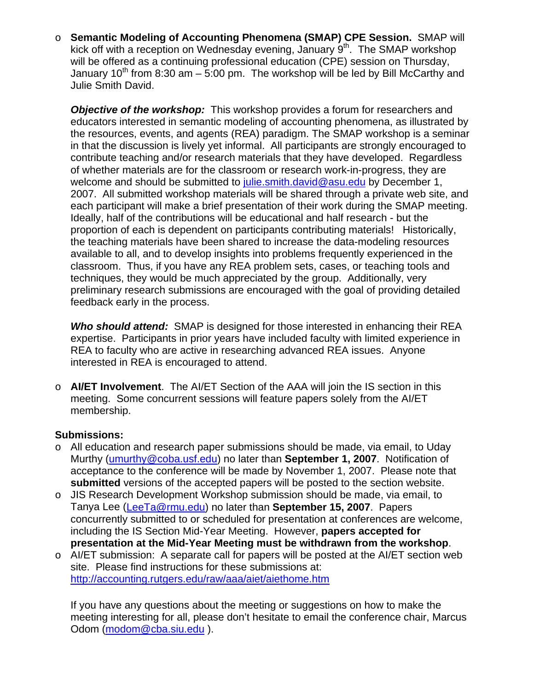<span id="page-3-0"></span>o **Semantic Modeling of Accounting Phenomena (SMAP) CPE Session.** SMAP will kick off with a reception on Wednesday evening, January  $9<sup>th</sup>$ . The SMAP workshop will be offered as a continuing professional education (CPE) session on Thursday, January 10<sup>th</sup> from 8:30 am – 5:00 pm. The workshop will be led by Bill McCarthy and Julie Smith David.

**Objective of the workshop:** This workshop provides a forum for researchers and educators interested in semantic modeling of accounting phenomena, as illustrated by the resources, events, and agents (REA) paradigm. The SMAP workshop is a seminar in that the discussion is lively yet informal. All participants are strongly encouraged to contribute teaching and/or research materials that they have developed. Regardless of whether materials are for the classroom or research work-in-progress, they are welcome and should be submitted to [julie.smith.david@asu.edu](mailto:julie.smith.david@asu.edu) by December 1, 2007. All submitted workshop materials will be shared through a private web site, and each participant will make a brief presentation of their work during the SMAP meeting. Ideally, half of the contributions will be educational and half research - but the proportion of each is dependent on participants contributing materials! Historically, the teaching materials have been shared to increase the data-modeling resources available to all, and to develop insights into problems frequently experienced in the classroom. Thus, if you have any REA problem sets, cases, or teaching tools and techniques, they would be much appreciated by the group. Additionally, very preliminary research submissions are encouraged with the goal of providing detailed feedback early in the process.

*Who should attend:* SMAP is designed for those interested in enhancing their REA expertise. Participants in prior years have included faculty with limited experience in REA to faculty who are active in researching advanced REA issues. Anyone interested in REA is encouraged to attend.

o **AI/ET Involvement**. The AI/ET Section of the AAA will join the IS section in this meeting. Some concurrent sessions will feature papers solely from the AI/ET membership.

# **Submissions:**

- $\circ$  All education and research paper submissions should be made, via email, to Uday Murthy ([umurthy@coba.usf.edu](mailto:umurthy@coba.usf.edu)) no later than **September 1, 2007**. Notification of acceptance to the conference will be made by November 1, 2007. Please note that **submitted** versions of the accepted papers will be posted to the section website.
- o JIS Research Development Workshop submission should be made, via email, to Tanya Lee [\(LeeTa@rmu.edu](mailto:LeeTa@rmu.edu)) no later than **September 15, 2007**. Papers concurrently submitted to or scheduled for presentation at conferences are welcome, including the IS Section Mid-Year Meeting. However, **papers accepted for presentation at the Mid-Year Meeting must be withdrawn from the workshop**.
- o AI/ET submission: A separate call for papers will be posted at the AI/ET section web site. Please find instructions for these submissions at: <http://accounting.rutgers.edu/raw/aaa/aiet/aiethome.htm>

If you have any questions about the meeting or suggestions on how to make the meeting interesting for all, please don't hesitate to email the conference chair, Marcus Odom [\(modom@cba.siu.edu](mailto:modom@cba.siu.edu) ).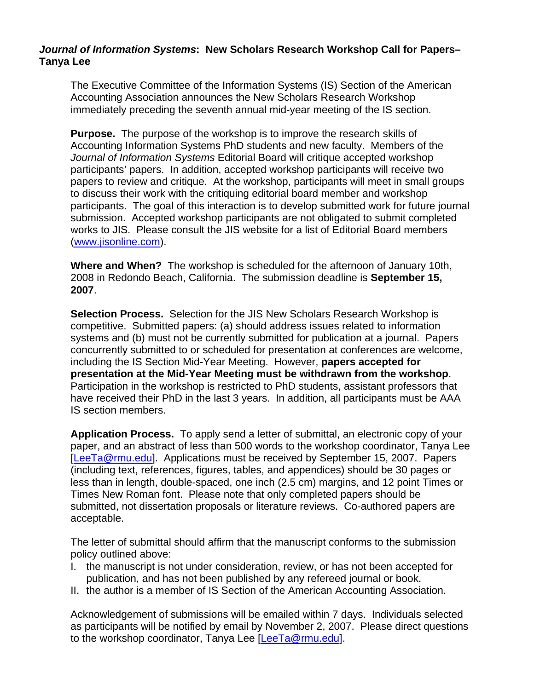## <span id="page-4-0"></span>*Journal of Information Systems***[: New Scholars Research Workshop Call for Papers–](#page-3-0)  Tanya Lee**

The Executive Committee of the Information Systems (IS) Section of the American Accounting Association announces the New Scholars Research Workshop immediately preceding the seventh annual mid-year meeting of the IS section.

**Purpose.** The purpose of the workshop is to improve the research skills of Accounting Information Systems PhD students and new faculty. Members of the *Journal of Information Systems* Editorial Board will critique accepted workshop participants' papers. In addition, accepted workshop participants will receive two papers to review and critique. At the workshop, participants will meet in small groups to discuss their work with the critiquing editorial board member and workshop participants. The goal of this interaction is to develop submitted work for future journal submission. Accepted workshop participants are not obligated to submit completed works to JIS. Please consult the JIS website for a list of Editorial Board members ([www.jisonline.com\)](http://www.jisonline.com/).

**Where and When?** The workshop is scheduled for the afternoon of January 10th, 2008 in Redondo Beach, California. The submission deadline is **September 15, 2007**.

**Selection Process.** Selection for the JIS New Scholars Research Workshop is competitive. Submitted papers: (a) should address issues related to information systems and (b) must not be currently submitted for publication at a journal. Papers concurrently submitted to or scheduled for presentation at conferences are welcome, including the IS Section Mid-Year Meeting. However, **papers accepted for presentation at the Mid-Year Meeting must be withdrawn from the workshop**. Participation in the workshop is restricted to PhD students, assistant professors that have received their PhD in the last 3 years. In addition, all participants must be AAA IS section members.

**Application Process.** To apply send a letter of submittal, an electronic copy of your paper, and an abstract of less than 500 words to the workshop coordinator, Tanya Lee [\[LeeTa@rmu.edu\]](mailto:LeeTa@rmu.edu). Applications must be received by September 15, 2007. Papers (including text, references, figures, tables, and appendices) should be 30 pages or less than in length, double-spaced, one inch (2.5 cm) margins, and 12 point Times or Times New Roman font. Please note that only completed papers should be submitted, not dissertation proposals or literature reviews. Co-authored papers are acceptable.

The letter of submittal should affirm that the manuscript conforms to the submission policy outlined above:

- I. the manuscript is not under consideration, review, or has not been accepted for publication, and has not been published by any refereed journal or book.
- II. the author is a member of IS Section of the American Accounting Association.

Acknowledgement of submissions will be emailed within 7 days. Individuals selected as participants will be notified by email by November 2, 2007. Please direct questions to the workshop coordinator, Tanya Lee [\[LeeTa@rmu.edu](mailto:LeeTa@rmu.edu)].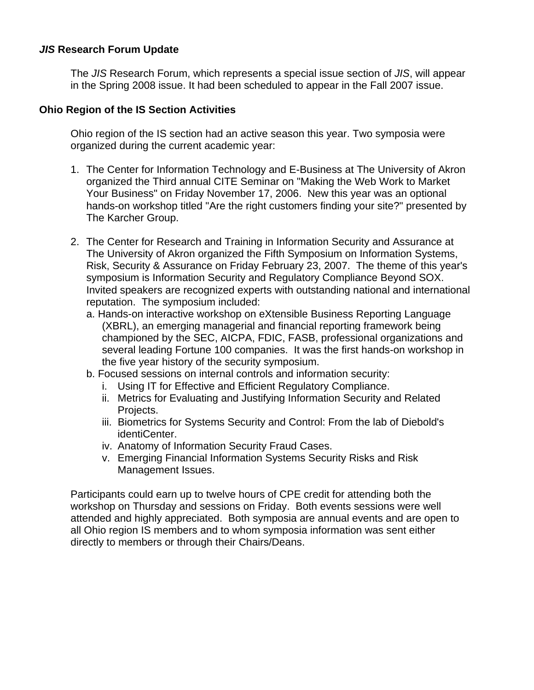#### <span id="page-5-0"></span>*JIS* **Research Forum Update**

The *JIS* Research Forum, which represents a special issue section of *JIS*, will appear in the Spring 2008 issue. It had been scheduled to appear in the Fall 2007 issue.

#### **Ohio Region of the IS Section Activities**

Ohio region of the IS section had an active season this year. Two symposia were organized during the current academic year:

- 1. The Center for Information Technology and E-Business at The University of Akron organized the Third annual CITE Seminar on "Making the Web Work to Market Your Business" on Friday November 17, 2006. New this year was an optional hands-on workshop titled "Are the right customers finding your site?" presented by The Karcher Group.
- 2. The Center for Research and Training in Information Security and Assurance at The University of Akron organized the Fifth Symposium on Information Systems, Risk, Security & Assurance on Friday February 23, 2007. The theme of this year's symposium is Information Security and Regulatory Compliance Beyond SOX. Invited speakers are recognized experts with outstanding national and international reputation. The symposium included:
	- a. Hands-on interactive workshop on eXtensible Business Reporting Language (XBRL), an emerging managerial and financial reporting framework being championed by the SEC, AICPA, FDIC, FASB, professional organizations and several leading Fortune 100 companies. It was the first hands-on workshop in the five year history of the security symposium.
	- b. Focused sessions on internal controls and information security:
		- i. Using IT for Effective and Efficient Regulatory Compliance.
		- ii. Metrics for Evaluating and Justifying Information Security and Related Projects.
		- iii. Biometrics for Systems Security and Control: From the lab of Diebold's identiCenter.
		- iv. Anatomy of Information Security Fraud Cases.
		- v. Emerging Financial Information Systems Security Risks and Risk Management Issues.

Participants could earn up to twelve hours of CPE credit for attending both the workshop on Thursday and sessions on Friday. Both events sessions were well attended and highly appreciated. Both symposia are annual events and are open to all Ohio region IS members and to whom symposia information was sent either directly to members or through their Chairs/Deans.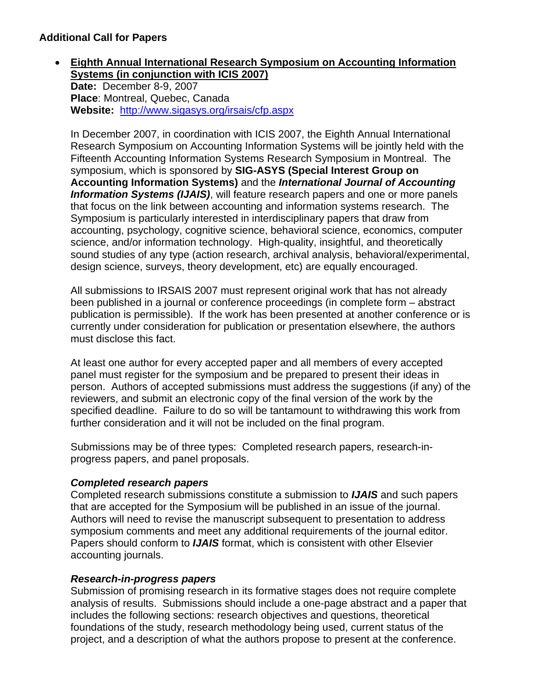## <span id="page-6-0"></span>• **Eighth Annual International Research Symposium on Accounting Information Systems (in conjunction with ICIS 2007)**

**Date:** December 8-9, 2007 **Place**: Montreal, Quebec, Canada **Website:** <http://www.sigasys.org/irsais/cfp.aspx>

In December 2007, in coordination with ICIS 2007, the Eighth Annual International Research Symposium on Accounting Information Systems will be jointly held with the Fifteenth Accounting Information Systems Research Symposium in Montreal. The symposium, which is sponsored by **SIG-ASYS (Special Interest Group on Accounting Information Systems)** and the *International Journal of Accounting Information Systems (IJAIS)*, will feature research papers and one or more panels that focus on the link between accounting and information systems research. The Symposium is particularly interested in interdisciplinary papers that draw from accounting, psychology, cognitive science, behavioral science, economics, computer science, and/or information technology. High-quality, insightful, and theoretically sound studies of any type (action research, archival analysis, behavioral/experimental, design science, surveys, theory development, etc) are equally encouraged.

All submissions to IRSAIS 2007 must represent original work that has not already been published in a journal or conference proceedings (in complete form – abstract publication is permissible). If the work has been presented at another conference or is currently under consideration for publication or presentation elsewhere, the authors must disclose this fact.

At least one author for every accepted paper and all members of every accepted panel must register for the symposium and be prepared to present their ideas in person. Authors of accepted submissions must address the suggestions (if any) of the reviewers, and submit an electronic copy of the final version of the work by the specified deadline. Failure to do so will be tantamount to withdrawing this work from further consideration and it will not be included on the final program.

Submissions may be of three types: Completed research papers, research-inprogress papers, and panel proposals.

# *Completed research papers*

Completed research submissions constitute a submission to *IJAIS* and such papers that are accepted for the Symposium will be published in an issue of the journal. Authors will need to revise the manuscript subsequent to presentation to address symposium comments and meet any additional requirements of the journal editor. Papers should conform to *IJAIS* format, which is consistent with other Elsevier accounting journals.

# *Research-in-progress papers*

Submission of promising research in its formative stages does not require complete analysis of results. Submissions should include a one-page abstract and a paper that includes the following sections: research objectives and questions, theoretical foundations of the study, research methodology being used, current status of the project, and a description of what the authors propose to present at the conference.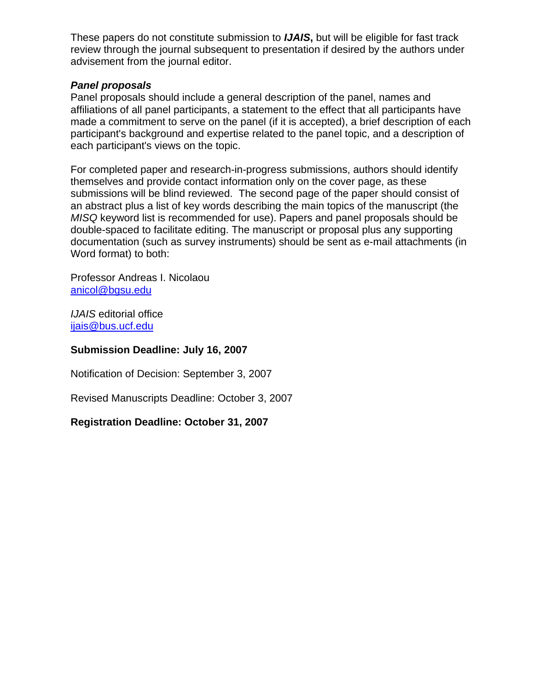These papers do not constitute submission to *IJAIS***,** but will be eligible for fast track review through the journal subsequent to presentation if desired by the authors under advisement from the journal editor.

#### *Panel proposals*

Panel proposals should include a general description of the panel, names and affiliations of all panel participants, a statement to the effect that all participants have made a commitment to serve on the panel (if it is accepted), a brief description of each participant's background and expertise related to the panel topic, and a description of each participant's views on the topic.

For completed paper and research-in-progress submissions, authors should identify themselves and provide contact information only on the cover page, as these submissions will be blind reviewed. The second page of the paper should consist of an abstract plus a list of key words describing the main topics of the manuscript (the *MISQ* keyword list is recommended for use). Papers and panel proposals should be double-spaced to facilitate editing. The manuscript or proposal plus any supporting documentation (such as survey instruments) should be sent as e-mail attachments (in Word format) to both:

Professor Andreas I. Nicolaou [anicol@bgsu.edu](mailto:anicol@bgsu.edu)

*IJAIS* editorial office [ijais@bus.ucf.edu](mailto:ijais@bus.ucf.edu) 

#### **Submission Deadline: July 16, 2007**

Notification of Decision: September 3, 2007

Revised Manuscripts Deadline: October 3, 2007

#### **Registration Deadline: October 31, 2007**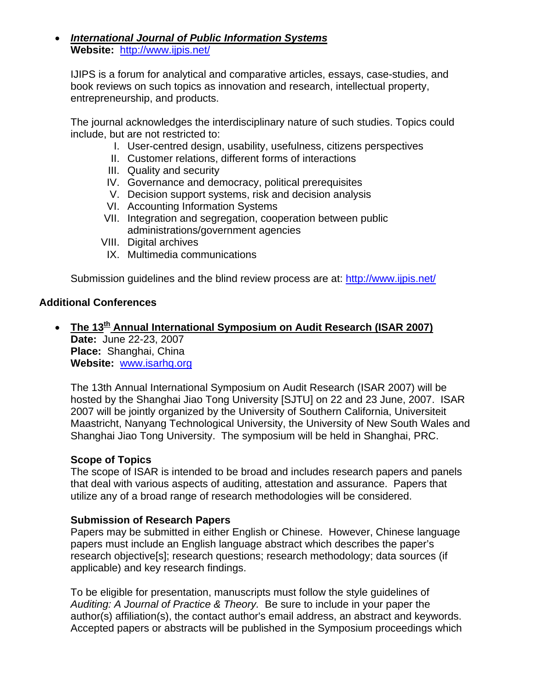#### <span id="page-8-0"></span>• *International Journal of Public Information Systems* **Website:** <http://www.ijpis.net/>

IJIPS is a forum for analytical and comparative articles, essays, case-studies, and book reviews on such topics as innovation and research, intellectual property, entrepreneurship, and products.

The journal acknowledges the interdisciplinary nature of such studies. Topics could include, but are not restricted to:

- I. User-centred design, usability, usefulness, citizens perspectives
- II. Customer relations, different forms of interactions
- III. Quality and security
- IV. Governance and democracy, political prerequisites
- V. Decision support systems, risk and decision analysis
- VI. Accounting Information Systems
- VII. Integration and segregation, cooperation between public administrations/government agencies
- VIII. Digital archives
- IX. Multimedia communications

Submission guidelines and the blind review process are at: <http://www.ijpis.net/>

#### **Additional Conferences**

• The 13<sup>th</sup> Annual International Symposium on Audit Research (ISAR 2007) **Date:** June 22-23, 2007 **Place:** Shanghai, China **Website:** [www.isarhq.org](http://www.isarhq.org/)

The 13th Annual International Symposium on Audit Research (ISAR 2007) will be hosted by the Shanghai Jiao Tong University [SJTU] on 22 and 23 June, 2007. ISAR 2007 will be jointly organized by the University of Southern California, Universiteit Maastricht, Nanyang Technological University, the University of New South Wales and Shanghai Jiao Tong University. The symposium will be held in Shanghai, PRC.

#### **Scope of Topics**

The scope of ISAR is intended to be broad and includes research papers and panels that deal with various aspects of auditing, attestation and assurance. Papers that utilize any of a broad range of research methodologies will be considered.

#### **Submission of Research Papers**

Papers may be submitted in either English or Chinese. However, Chinese language papers must include an English language abstract which describes the paper's research objective[s]; research questions; research methodology; data sources (if applicable) and key research findings.

To be eligible for presentation, manuscripts must follow the style guidelines of *Auditing: A Journal of Practice & Theory.* Be sure to include in your paper the author(s) affiliation(s), the contact author's email address, an abstract and keywords. Accepted papers or abstracts will be published in the Symposium proceedings which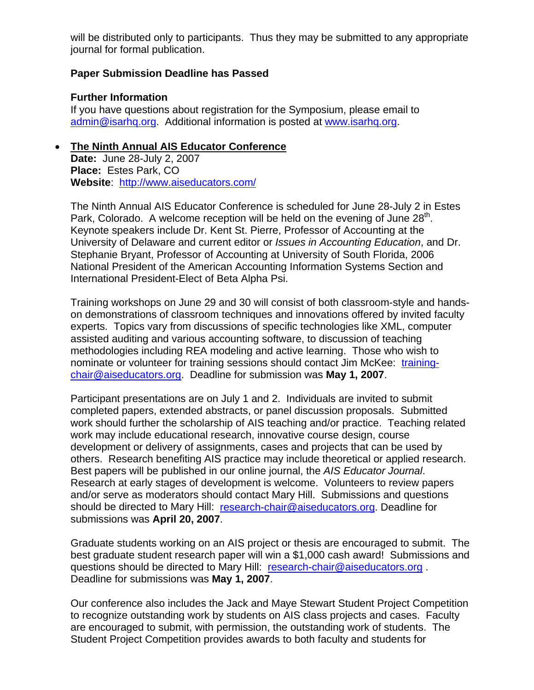<span id="page-9-0"></span>will be distributed only to participants. Thus they may be submitted to any appropriate journal for formal publication.

#### **Paper Submission Deadline has Passed**

#### **Further Information**

If you have questions about registration for the Symposium, please email to [admin@isarhq.org](mailto:admin@isarhq.org). Additional information is posted at [www.isarhq.org](http://www.isarhq.org/).

#### • **The Ninth Annual AIS Educator Conference**

**Date:** June 28-July 2, 2007 **Place:** Estes Park, CO **Website**: <http://www.aiseducators.com/>

The Ninth Annual AIS Educator Conference is scheduled for June 28-July 2 in Estes Park, Colorado. A welcome reception will be held on the evening of June  $28<sup>th</sup>$ . Keynote speakers include Dr. Kent St. Pierre, Professor of Accounting at the University of Delaware and current editor or *Issues in Accounting Education*, and Dr. Stephanie Bryant, Professor of Accounting at University of South Florida, 2006 National President of the American Accounting Information Systems Section and International President-Elect of Beta Alpha Psi.

Training workshops on June 29 and 30 will consist of both classroom-style and handson demonstrations of classroom techniques and innovations offered by invited faculty experts. Topics vary from discussions of specific technologies like XML, computer assisted auditing and various accounting software, to discussion of teaching methodologies including REA modeling and active learning. Those who wish to nominate or volunteer for training sessions should contact Jim McKee: [training](mailto:training-chair@aiseducators.org)[chair@aiseducators.org.](mailto:training-chair@aiseducators.org) Deadline for submission was **May 1, 2007**.

Participant presentations are on July 1 and 2. Individuals are invited to submit completed papers, extended abstracts, or panel discussion proposals. Submitted work should further the scholarship of AIS teaching and/or practice. Teaching related work may include educational research, innovative course design, course development or delivery of assignments, cases and projects that can be used by others. Research benefiting AIS practice may include theoretical or applied research. Best papers will be published in our online journal, the *AIS Educator Journal*. Research at early stages of development is welcome. Volunteers to review papers and/or serve as moderators should contact Mary Hill. Submissions and questions should be directed to Mary Hill: [research-chair@aiseducators.org.](mailto:research-chair@aiseducators.org) Deadline for submissions was **April 20, 2007**.

Graduate students working on an AIS project or thesis are encouraged to submit. The best graduate student research paper will win a \$1,000 cash award! Submissions and questions should be directed to Mary Hill: [research-chair@aiseducators.org](mailto:research-chair@aiseducators.org) . Deadline for submissions was **May 1, 2007**.

Our conference also includes the Jack and Maye Stewart Student Project Competition to recognize outstanding work by students on AIS class projects and cases. Faculty are encouraged to submit, with permission, the outstanding work of students. The Student Project Competition provides awards to both faculty and students for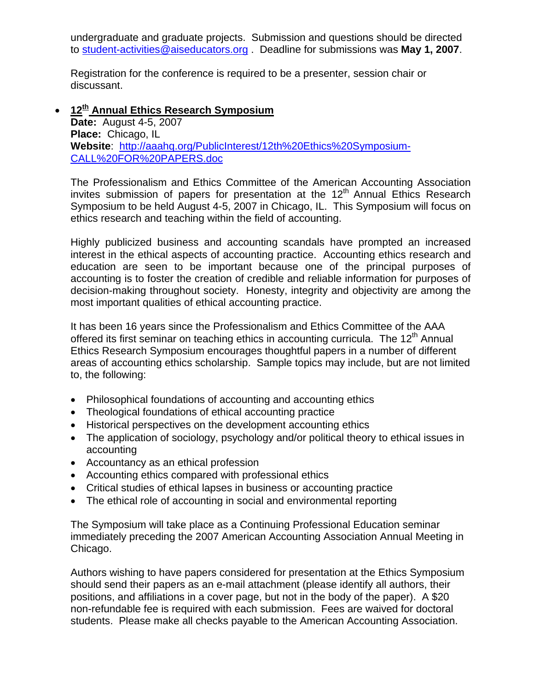<span id="page-10-0"></span>undergraduate and graduate projects. Submission and questions should be directed to [student-activities@aiseducators.org](mailto:student-activities@aiseducators.org) . Deadline for submissions was **May 1, 2007**.

Registration for the conference is required to be a presenter, session chair or discussant.

## • **12th Annual Ethics Research Symposium**

**Date:** August 4-5, 2007 **Place:** Chicago, IL **Website**: [http://aaahq.org/PublicInterest/12th%20Ethics%20Symposium-](http://aaahq.org/PublicInterest/12th Ethics Symposium-CALL FOR PAPERS.doc)[CALL%20FOR%20PAPERS.doc](http://aaahq.org/PublicInterest/12th Ethics Symposium-CALL FOR PAPERS.doc) 

The Professionalism and Ethics Committee of the American Accounting Association invites submission of papers for presentation at the  $12<sup>th</sup>$  Annual Ethics Research Symposium to be held August 4-5, 2007 in Chicago, IL. This Symposium will focus on ethics research and teaching within the field of accounting.

Highly publicized business and accounting scandals have prompted an increased interest in the ethical aspects of accounting practice. Accounting ethics research and education are seen to be important because one of the principal purposes of accounting is to foster the creation of credible and reliable information for purposes of decision-making throughout society. Honesty, integrity and objectivity are among the most important qualities of ethical accounting practice.

It has been 16 years since the Professionalism and Ethics Committee of the AAA offered its first seminar on teaching ethics in accounting curricula. The  $12<sup>th</sup>$  Annual Ethics Research Symposium encourages thoughtful papers in a number of different areas of accounting ethics scholarship. Sample topics may include, but are not limited to, the following:

- Philosophical foundations of accounting and accounting ethics
- Theological foundations of ethical accounting practice
- Historical perspectives on the development accounting ethics
- The application of sociology, psychology and/or political theory to ethical issues in accounting
- Accountancy as an ethical profession
- Accounting ethics compared with professional ethics
- Critical studies of ethical lapses in business or accounting practice
- The ethical role of accounting in social and environmental reporting

The Symposium will take place as a Continuing Professional Education seminar immediately preceding the 2007 American Accounting Association Annual Meeting in Chicago.

Authors wishing to have papers considered for presentation at the Ethics Symposium should send their papers as an e-mail attachment (please identify all authors, their positions, and affiliations in a cover page, but not in the body of the paper). A \$20 non-refundable fee is required with each submission. Fees are waived for doctoral students. Please make all checks payable to the American Accounting Association.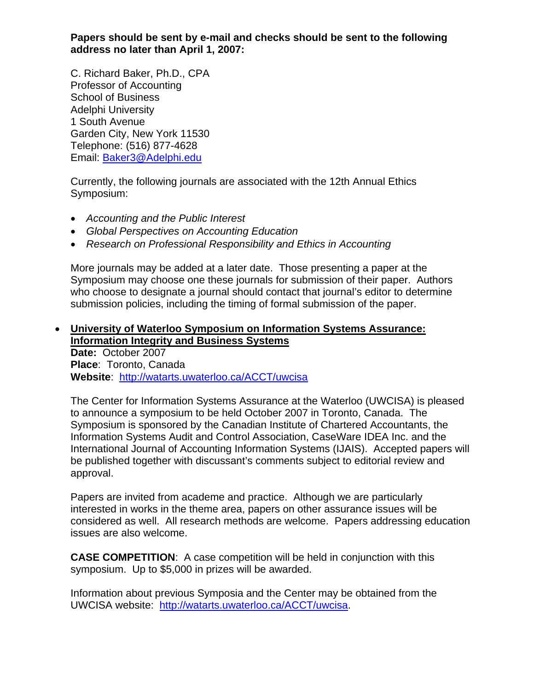<span id="page-11-0"></span>**Papers should be sent by e-mail and checks should be sent to the following address no later than April 1, 2007:**

C. Richard Baker, Ph.D., CPA Professor of Accounting School of Business Adelphi University 1 South Avenue Garden City, New York 11530 Telephone: (516) 877-4628 Email: [Baker3@Adelphi.edu](mailto:Baker3@Adelphi.edu)

Currently, the following journals are associated with the 12th Annual Ethics Symposium:

- *Accounting and the Public Interest*
- *Global Perspectives on Accounting Education*
- *Research on Professional Responsibility and Ethics in Accounting*

More journals may be added at a later date. Those presenting a paper at the Symposium may choose one these journals for submission of their paper. Authors who choose to designate a journal should contact that journal's editor to determine submission policies, including the timing of formal submission of the paper.

#### • **University of Waterloo Symposium on Information Systems Assurance: Information Integrity and Business Systems Date:** October 2007 **Place**: Toronto, Canada

**Website**: <http://watarts.uwaterloo.ca/ACCT/uwcisa>

The Center for Information Systems Assurance at the Waterloo (UWCISA) is pleased to announce a symposium to be held October 2007 in Toronto, Canada. The Symposium is sponsored by the Canadian Institute of Chartered Accountants, the Information Systems Audit and Control Association, CaseWare IDEA Inc. and the International Journal of Accounting Information Systems (IJAIS). Accepted papers will be published together with discussant's comments subject to editorial review and approval.

Papers are invited from academe and practice. Although we are particularly interested in works in the theme area, papers on other assurance issues will be considered as well. All research methods are welcome. Papers addressing education issues are also welcome.

**CASE COMPETITION**: A case competition will be held in conjunction with this symposium. Up to \$5,000 in prizes will be awarded.

Information about previous Symposia and the Center may be obtained from the UWCISA website: <http://watarts.uwaterloo.ca/ACCT/uwcisa>.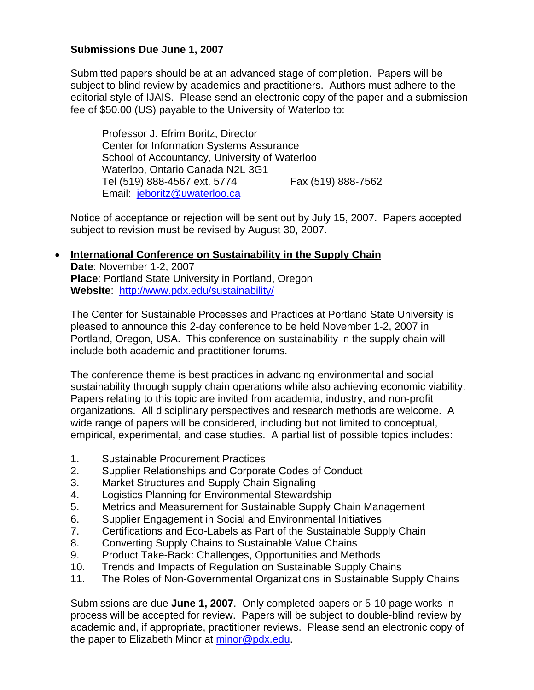## <span id="page-12-0"></span>**Submissions Due June 1, 2007**

Submitted papers should be at an advanced stage of completion. Papers will be subject to blind review by academics and practitioners. Authors must adhere to the editorial style of IJAIS. Please send an electronic copy of the paper and a submission fee of \$50.00 (US) payable to the University of Waterloo to:

 Professor J. Efrim Boritz, Director Center for Information Systems Assurance School of Accountancy, University of Waterloo Waterloo, Ontario Canada N2L 3G1 Tel (519) 888-4567 ext. 5774 Fax (519) 888-7562 Email: [jeboritz@uwaterloo.ca](mailto:jeboritz@uwaterloo.ca)

Notice of acceptance or rejection will be sent out by July 15, 2007. Papers accepted subject to revision must be revised by August 30, 2007.

#### • **International Conference on Sustainability in the Supply Chain Date**: November 1-2, 2007 **Place**: Portland State University in Portland, Oregon **Website**: <http://www.pdx.edu/sustainability/>

The Center for Sustainable Processes and Practices at Portland State University is pleased to announce this 2-day conference to be held November 1-2, 2007 in Portland, Oregon, USA. This conference on sustainability in the supply chain will include both academic and practitioner forums.

The conference theme is best practices in advancing environmental and social sustainability through supply chain operations while also achieving economic viability. Papers relating to this topic are invited from academia, industry, and non-profit organizations. All disciplinary perspectives and research methods are welcome. A wide range of papers will be considered, including but not limited to conceptual, empirical, experimental, and case studies. A partial list of possible topics includes:

- 1. Sustainable Procurement Practices
- 2. Supplier Relationships and Corporate Codes of Conduct
- 3. Market Structures and Supply Chain Signaling
- 4. Logistics Planning for Environmental Stewardship
- 5. Metrics and Measurement for Sustainable Supply Chain Management
- 6. Supplier Engagement in Social and Environmental Initiatives
- 7. Certifications and Eco-Labels as Part of the Sustainable Supply Chain
- 8. Converting Supply Chains to Sustainable Value Chains
- 9. Product Take-Back: Challenges, Opportunities and Methods
- 10. Trends and Impacts of Regulation on Sustainable Supply Chains
- 11. The Roles of Non-Governmental Organizations in Sustainable Supply Chains

Submissions are due **June 1, 2007**. Only completed papers or 5-10 page works-inprocess will be accepted for review. Papers will be subject to double-blind review by academic and, if appropriate, practitioner reviews. Please send an electronic copy of the paper to Elizabeth Minor at [minor@pdx.edu.](mailto:minor@pdx.edu)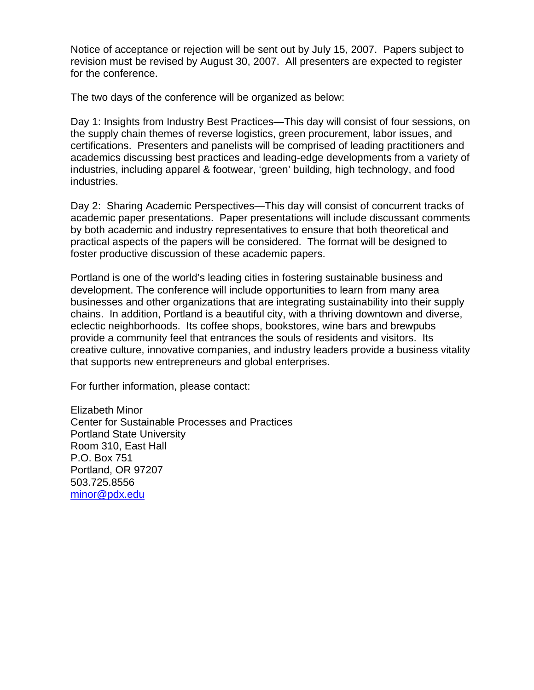Notice of acceptance or rejection will be sent out by July 15, 2007. Papers subject to revision must be revised by August 30, 2007. All presenters are expected to register for the conference.

The two days of the conference will be organized as below:

Day 1: Insights from Industry Best Practices—This day will consist of four sessions, on the supply chain themes of reverse logistics, green procurement, labor issues, and certifications. Presenters and panelists will be comprised of leading practitioners and academics discussing best practices and leading-edge developments from a variety of industries, including apparel & footwear, 'green' building, high technology, and food industries.

Day 2: Sharing Academic Perspectives—This day will consist of concurrent tracks of academic paper presentations. Paper presentations will include discussant comments by both academic and industry representatives to ensure that both theoretical and practical aspects of the papers will be considered. The format will be designed to foster productive discussion of these academic papers.

Portland is one of the world's leading cities in fostering sustainable business and development. The conference will include opportunities to learn from many area businesses and other organizations that are integrating sustainability into their supply chains. In addition, Portland is a beautiful city, with a thriving downtown and diverse, eclectic neighborhoods. Its coffee shops, bookstores, wine bars and brewpubs provide a community feel that entrances the souls of residents and visitors. Its creative culture, innovative companies, and industry leaders provide a business vitality that supports new entrepreneurs and global enterprises.

For further information, please contact:

Elizabeth Minor Center for Sustainable Processes and Practices Portland State University Room 310, East Hall P.O. Box 751 Portland, OR 97207 503.725.8556 [minor@pdx.edu](mailto:minor@pdx.edu)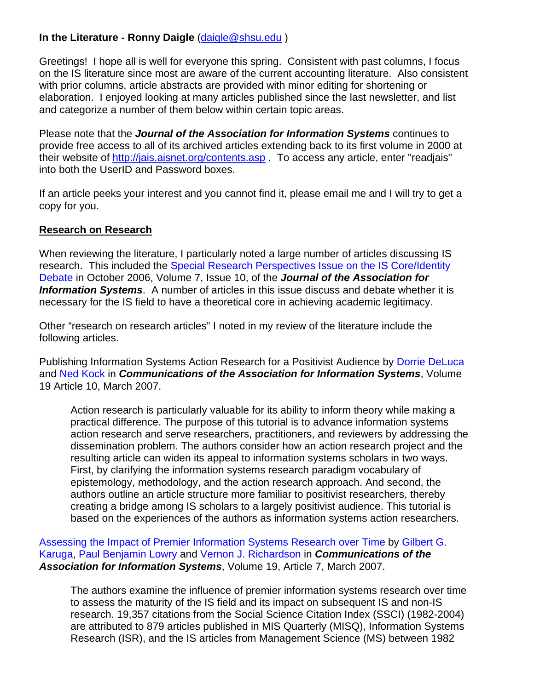# <span id="page-14-0"></span>**In the Literature - Ronny Daigle** [\(daigle@shsu.edu](mailto:daigle@shsu.edu) )

Greetings! I hope all is well for everyone this spring. Consistent with past columns, I focus on the IS literature since most are aware of the current accounting literature. Also consistent with prior columns, article abstracts are provided with minor editing for shortening or elaboration. I enjoyed looking at many articles published since the last newsletter, and list and categorize a number of them below within certain topic areas.

Please note that the *Journal of the Association for Information Systems* continues to provide free access to all of its archived articles extending back to its first volume in 2000 at their website of<http://jais.aisnet.org/contents.asp> . To access any article, enter "readjais" into both the UserID and Password boxes.

If an article peeks your interest and you cannot find it, please email me and I will try to get a copy for you.

#### **Research on Research**

When reviewing the literature, I particularly noted a large number of articles discussing IS research. This included the Special Research Perspectives Issue on the IS Core/Identity [Debate](http://jais.aisnet.org/articles/default.asp?vol=7&art=29) in October 2006, Volume 7, Issue 10, of the *Journal of the Association for Information Systems*. A number of articles in this issue discuss and debate whether it is necessary for the IS field to have a theoretical core in achieving academic legitimacy.

Other "research on research articles" I noted in my review of the literature include the following articles.

Publishing Information Systems Action Research for a Positivist Audience by [Dorrie DeLuca](http://cais.aisnet.org/authors.asp?auth=1072) and [Ned Kock](http://cais.aisnet.org/authors.asp?auth=262) in *Communications of the Association for Information Systems*, Volume 19 Article 10, March 2007.

Action research is particularly valuable for its ability to inform theory while making a practical difference. The purpose of this tutorial is to advance information systems action research and serve researchers, practitioners, and reviewers by addressing the dissemination problem. The authors consider how an action research project and the resulting article can widen its appeal to information systems scholars in two ways. First, by clarifying the information systems research paradigm vocabulary of epistemology, methodology, and the action research approach. And second, the authors outline an article structure more familiar to positivist researchers, thereby creating a bridge among IS scholars to a largely positivist audience. This tutorial is based on the experiences of the authors as information systems action researchers.

[Assessing the Impact of Premier Information Systems Research over Time](http://cais.aisnet.org/articles/default.asp?vol=19&art=7) by [Gilbert G.](http://cais.aisnet.org/authors.asp?auth=1078)  [Karuga,](http://cais.aisnet.org/authors.asp?auth=1078) [Paul Benjamin Lowry](http://cais.aisnet.org/authors.asp?auth=1066) and [Vernon J. Richardson](http://cais.aisnet.org/authors.asp?auth=1079) in *Communications of the Association for Information Systems*, Volume 19, Article 7, March 2007.

The authors examine the influence of premier information systems research over time to assess the maturity of the IS field and its impact on subsequent IS and non-IS research. 19,357 citations from the Social Science Citation Index (SSCI) (1982-2004) are attributed to 879 articles published in MIS Quarterly (MISQ), Information Systems Research (ISR), and the IS articles from Management Science (MS) between 1982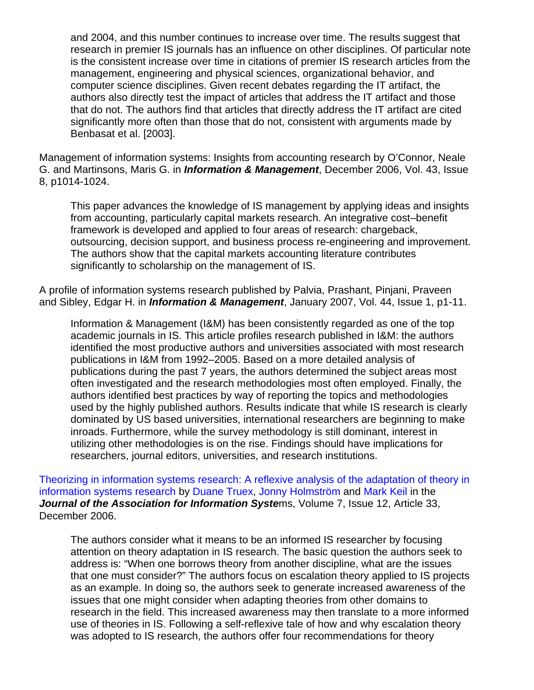and 2004, and this number continues to increase over time. The results suggest that research in premier IS journals has an influence on other disciplines. Of particular note is the consistent increase over time in citations of premier IS research articles from the management, engineering and physical sciences, organizational behavior, and computer science disciplines. Given recent debates regarding the IT artifact, the authors also directly test the impact of articles that address the IT artifact and those that do not. The authors find that articles that directly address the IT artifact are cited significantly more often than those that do not, consistent with arguments made by Benbasat et al. [2003].

Management of information systems: Insights from accounting research by O'Connor, Neale G. and Martinsons, Maris G. in *Information & Management*, December 2006, Vol. 43, Issue 8, p1014-1024.

This paper advances the knowledge of IS management by applying ideas and insights from accounting, particularly capital markets research. An integrative cost–benefit framework is developed and applied to four areas of research: chargeback, outsourcing, decision support, and business process re-engineering and improvement. The authors show that the capital markets accounting literature contributes significantly to scholarship on the management of IS.

A profile of information systems research published by Palvia, Prashant, Pinjani, Praveen and Sibley, Edgar H. in *Information & Management*, January 2007, Vol. 44, Issue 1, p1-11.

Information & Management (I&M) has been consistently regarded as one of the top academic journals in IS. This article profiles research published in I&M: the authors identified the most productive authors and universities associated with most research publications in I&M from 1992–2005. Based on a more detailed analysis of publications during the past 7 years, the authors determined the subject areas most often investigated and the research methodologies most often employed. Finally, the authors identified best practices by way of reporting the topics and methodologies used by the highly published authors. Results indicate that while IS research is clearly dominated by US based universities, international researchers are beginning to make inroads. Furthermore, while the survey methodology is still dominant, interest in utilizing other methodologies is on the rise. Findings should have implications for researchers, journal editors, universities, and research institutions.

[Theorizing in information systems research: A reflexive analysis of the adaptation of theory in](http://jais.aisnet.org/articles/default.asp?vol=7&art=33)  [information systems research](http://jais.aisnet.org/articles/default.asp?vol=7&art=33) by [Duane Truex](http://jais.aisnet.org/authors.asp?auth=437), [Jonny Holmström](http://jais.aisnet.org/authors.asp?auth=438) and [Mark Keil](http://jais.aisnet.org/authors.asp?auth=439) in the *Journal of the Association for Information Syste*ms, Volume 7, Issue 12, Article 33, December 2006.

The authors consider what it means to be an informed IS researcher by focusing attention on theory adaptation in IS research. The basic question the authors seek to address is: "When one borrows theory from another discipline, what are the issues that one must consider?" The authors focus on escalation theory applied to IS projects as an example. In doing so, the authors seek to generate increased awareness of the issues that one might consider when adapting theories from other domains to research in the field. This increased awareness may then translate to a more informed use of theories in IS. Following a self-reflexive tale of how and why escalation theory was adopted to IS research, the authors offer four recommendations for theory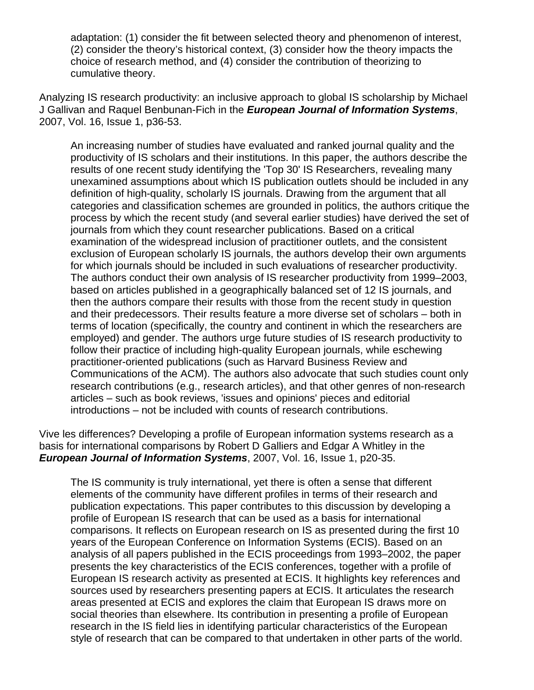adaptation: (1) consider the fit between selected theory and phenomenon of interest, (2) consider the theory's historical context, (3) consider how the theory impacts the choice of research method, and (4) consider the contribution of theorizing to cumulative theory.

Analyzing IS research productivity: an inclusive approach to global IS scholarship by Michael J Gallivan and Raquel Benbunan-Fich in the *European Journal of Information Systems*, 2007, Vol. 16, Issue 1, p36-53.

An increasing number of studies have evaluated and ranked journal quality and the productivity of IS scholars and their institutions. In this paper, the authors describe the results of one recent study identifying the 'Top 30' IS Researchers, revealing many unexamined assumptions about which IS publication outlets should be included in any definition of high-quality, scholarly IS journals. Drawing from the argument that all categories and classification schemes are grounded in politics, the authors critique the process by which the recent study (and several earlier studies) have derived the set of journals from which they count researcher publications. Based on a critical examination of the widespread inclusion of practitioner outlets, and the consistent exclusion of European scholarly IS journals, the authors develop their own arguments for which journals should be included in such evaluations of researcher productivity. The authors conduct their own analysis of IS researcher productivity from 1999–2003, based on articles published in a geographically balanced set of 12 IS journals, and then the authors compare their results with those from the recent study in question and their predecessors. Their results feature a more diverse set of scholars – both in terms of location (specifically, the country and continent in which the researchers are employed) and gender. The authors urge future studies of IS research productivity to follow their practice of including high-quality European journals, while eschewing practitioner-oriented publications (such as Harvard Business Review and Communications of the ACM). The authors also advocate that such studies count only research contributions (e.g., research articles), and that other genres of non-research articles – such as book reviews, 'issues and opinions' pieces and editorial introductions – not be included with counts of research contributions.

Vive les differences? Developing a profile of European information systems research as a basis for international comparisons by Robert D Galliers and Edgar A Whitley in the *European Journal of Information Systems*, 2007, Vol. 16, Issue 1, p20-35.

The IS community is truly international, yet there is often a sense that different elements of the community have different profiles in terms of their research and publication expectations. This paper contributes to this discussion by developing a profile of European IS research that can be used as a basis for international comparisons. It reflects on European research on IS as presented during the first 10 years of the European Conference on Information Systems (ECIS). Based on an analysis of all papers published in the ECIS proceedings from 1993–2002, the paper presents the key characteristics of the ECIS conferences, together with a profile of European IS research activity as presented at ECIS. It highlights key references and sources used by researchers presenting papers at ECIS. It articulates the research areas presented at ECIS and explores the claim that European IS draws more on social theories than elsewhere. Its contribution in presenting a profile of European research in the IS field lies in identifying particular characteristics of the European style of research that can be compared to that undertaken in other parts of the world.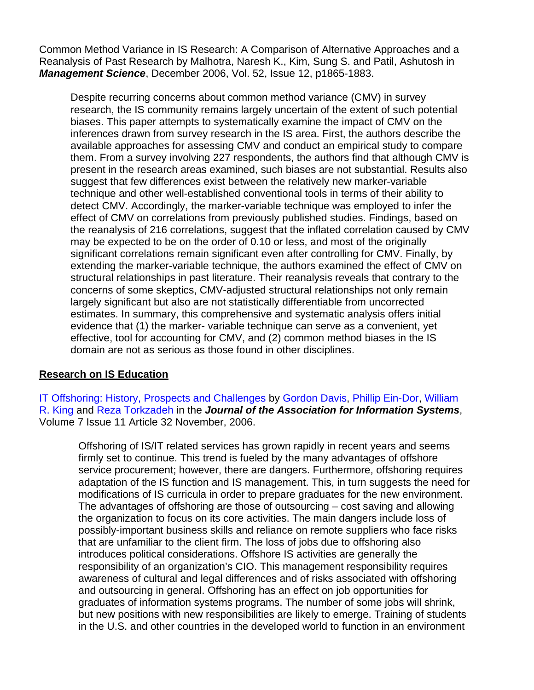Common Method Variance in IS Research: A Comparison of Alternative Approaches and a Reanalysis of Past Research by Malhotra, Naresh K., Kim, Sung S. and Patil, Ashutosh in *Management Science*, December 2006, Vol. 52, Issue 12, p1865-1883.

Despite recurring concerns about common method variance (CMV) in survey research, the IS community remains largely uncertain of the extent of such potential biases. This paper attempts to systematically examine the impact of CMV on the inferences drawn from survey research in the IS area. First, the authors describe the available approaches for assessing CMV and conduct an empirical study to compare them. From a survey involving 227 respondents, the authors find that although CMV is present in the research areas examined, such biases are not substantial. Results also suggest that few differences exist between the relatively new marker-variable technique and other well-established conventional tools in terms of their ability to detect CMV. Accordingly, the marker-variable technique was employed to infer the effect of CMV on correlations from previously published studies. Findings, based on the reanalysis of 216 correlations, suggest that the inflated correlation caused by CMV may be expected to be on the order of 0.10 or less, and most of the originally significant correlations remain significant even after controlling for CMV. Finally, by extending the marker-variable technique, the authors examined the effect of CMV on structural relationships in past literature. Their reanalysis reveals that contrary to the concerns of some skeptics, CMV-adjusted structural relationships not only remain largely significant but also are not statistically differentiable from uncorrected estimates. In summary, this comprehensive and systematic analysis offers initial evidence that (1) the marker- variable technique can serve as a convenient, yet effective, tool for accounting for CMV, and (2) common method biases in the IS domain are not as serious as those found in other disciplines.

#### **Research on IS Education**

[IT Offshoring: History, Prospects and Challenges](http://jais.aisnet.org/articles/default.asp?vol=7&art=32) by [Gordon Davis,](http://jais.aisnet.org/authors.asp?auth=433) [Phillip Ein-Dor](http://jais.aisnet.org/authors.asp?auth=434), [William](http://jais.aisnet.org/authors.asp?auth=435)  [R. King](http://jais.aisnet.org/authors.asp?auth=435) and [Reza Torkzadeh](http://jais.aisnet.org/authors.asp?auth=436) in the *Journal of the Association for Information Systems*, Volume 7 Issue 11 Article 32 November, 2006.

Offshoring of IS/IT related services has grown rapidly in recent years and seems firmly set to continue. This trend is fueled by the many advantages of offshore service procurement; however, there are dangers. Furthermore, offshoring requires adaptation of the IS function and IS management. This, in turn suggests the need for modifications of IS curricula in order to prepare graduates for the new environment. The advantages of offshoring are those of outsourcing – cost saving and allowing the organization to focus on its core activities. The main dangers include loss of possibly-important business skills and reliance on remote suppliers who face risks that are unfamiliar to the client firm. The loss of jobs due to offshoring also introduces political considerations. Offshore IS activities are generally the responsibility of an organization's CIO. This management responsibility requires awareness of cultural and legal differences and of risks associated with offshoring and outsourcing in general. Offshoring has an effect on job opportunities for graduates of information systems programs. The number of some jobs will shrink, but new positions with new responsibilities are likely to emerge. Training of students in the U.S. and other countries in the developed world to function in an environment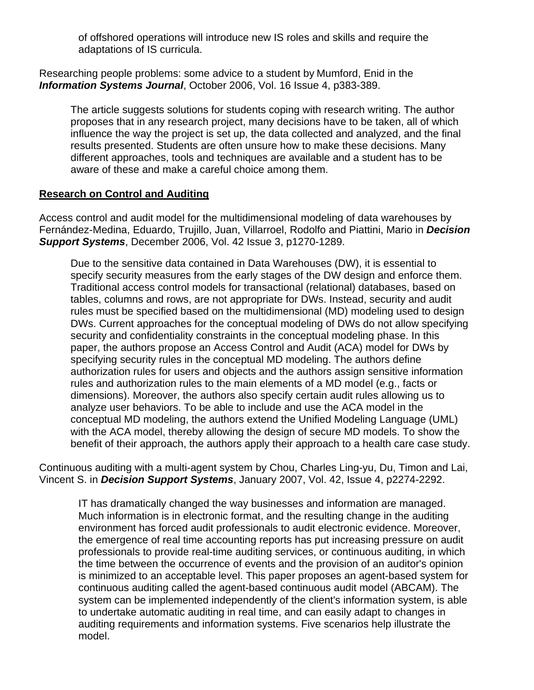of offshored operations will introduce new IS roles and skills and require the adaptations of IS curricula.

Researching people problems: some advice to a student by Mumford, Enid in the *Information Systems Journal*, October 2006, Vol. 16 Issue 4, p383-389.

The article suggests solutions for students coping with research writing. The author proposes that in any research project, many decisions have to be taken, all of which influence the way the project is set up, the data collected and analyzed, and the final results presented. Students are often unsure how to make these decisions. Many different approaches, tools and techniques are available and a student has to be aware of these and make a careful choice among them.

#### **Research on Control and Auditing**

Access control and audit model for the multidimensional modeling of data warehouses by Fernández-Medina, Eduardo, Trujillo, Juan, Villarroel, Rodolfo and Piattini, Mario in *Decision Support Systems*, December 2006, Vol. 42 Issue 3, p1270-1289.

Due to the sensitive data contained in Data Warehouses (DW), it is essential to specify security measures from the early stages of the DW design and enforce them. Traditional access control models for transactional (relational) databases, based on tables, columns and rows, are not appropriate for DWs. Instead, security and audit rules must be specified based on the multidimensional (MD) modeling used to design DWs. Current approaches for the conceptual modeling of DWs do not allow specifying security and confidentiality constraints in the conceptual modeling phase. In this paper, the authors propose an Access Control and Audit (ACA) model for DWs by specifying security rules in the conceptual MD modeling. The authors define authorization rules for users and objects and the authors assign sensitive information rules and authorization rules to the main elements of a MD model (e.g., facts or dimensions). Moreover, the authors also specify certain audit rules allowing us to analyze user behaviors. To be able to include and use the ACA model in the conceptual MD modeling, the authors extend the Unified Modeling Language (UML) with the ACA model, thereby allowing the design of secure MD models. To show the benefit of their approach, the authors apply their approach to a health care case study.

Continuous auditing with a multi-agent system by Chou, Charles Ling-yu, Du, Timon and Lai, Vincent S. in *Decision Support Systems*, January 2007, Vol. 42, Issue 4, p2274-2292.

IT has dramatically changed the way businesses and information are managed. Much information is in electronic format, and the resulting change in the auditing environment has forced audit professionals to audit electronic evidence. Moreover, the emergence of real time accounting reports has put increasing pressure on audit professionals to provide real-time auditing services, or continuous auditing, in which the time between the occurrence of events and the provision of an auditor's opinion is minimized to an acceptable level. This paper proposes an agent-based system for continuous auditing called the agent-based continuous audit model (ABCAM). The system can be implemented independently of the client's information system, is able to undertake automatic auditing in real time, and can easily adapt to changes in auditing requirements and information systems. Five scenarios help illustrate the model.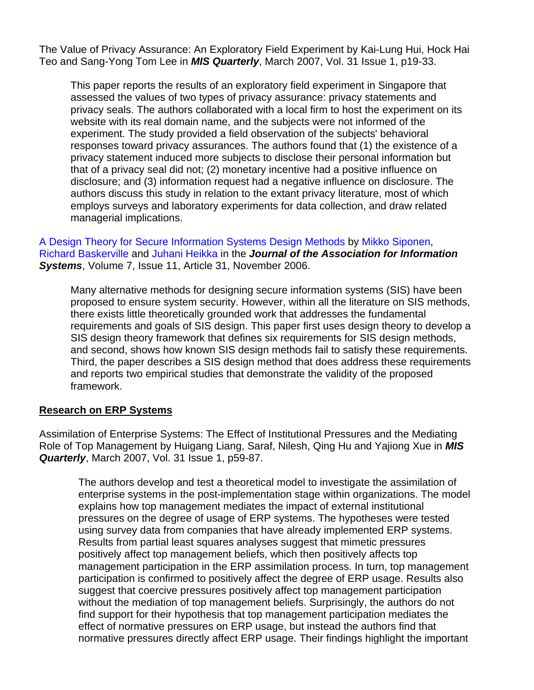The Value of Privacy Assurance: An Exploratory Field Experiment by Kai-Lung Hui, Hock Hai Teo and Sang-Yong Tom Lee in *MIS Quarterly*, March 2007, Vol. 31 Issue 1, p19-33.

This paper reports the results of an exploratory field experiment in Singapore that assessed the values of two types of privacy assurance: privacy statements and privacy seals. The authors collaborated with a local firm to host the experiment on its website with its real domain name, and the subjects were not informed of the experiment. The study provided a field observation of the subjects' behavioral responses toward privacy assurances. The authors found that (1) the existence of a privacy statement induced more subjects to disclose their personal information but that of a privacy seal did not; (2) monetary incentive had a positive influence on disclosure; and (3) information request had a negative influence on disclosure. The authors discuss this study in relation to the extant privacy literature, most of which employs surveys and laboratory experiments for data collection, and draw related managerial implications.

[A Design Theory for Secure Information Systems Design Methods](http://jais.aisnet.org/articles/default.asp?vol=7&art=31) by [Mikko Siponen,](http://jais.aisnet.org/authors.asp?auth=409) [Richard Baskerville](http://jais.aisnet.org/authors.asp?auth=431) and [Juhani Heikka](http://jais.aisnet.org/authors.asp?auth=432) in the *Journal of the Association for Information Systems*, Volume 7, Issue 11, Article 31, November 2006.

Many alternative methods for designing secure information systems (SIS) have been proposed to ensure system security. However, within all the literature on SIS methods, there exists little theoretically grounded work that addresses the fundamental requirements and goals of SIS design. This paper first uses design theory to develop a SIS design theory framework that defines six requirements for SIS design methods, and second, shows how known SIS design methods fail to satisfy these requirements. Third, the paper describes a SIS design method that does address these requirements and reports two empirical studies that demonstrate the validity of the proposed framework.

#### **Research on ERP Systems**

Assimilation of Enterprise Systems: The Effect of Institutional Pressures and the Mediating Role of Top Management by Huigang Liang, Saraf, Nilesh, Qing Hu and Yajiong Xue in *MIS Quarterly*, March 2007, Vol. 31 Issue 1, p59-87.

The authors develop and test a theoretical model to investigate the assimilation of enterprise systems in the post-implementation stage within organizations. The model explains how top management mediates the impact of external institutional pressures on the degree of usage of ERP systems. The hypotheses were tested using survey data from companies that have already implemented ERP systems. Results from partial least squares analyses suggest that mimetic pressures positively affect top management beliefs, which then positively affects top management participation in the ERP assimilation process. In turn, top management participation is confirmed to positively affect the degree of ERP usage. Results also suggest that coercive pressures positively affect top management participation without the mediation of top management beliefs. Surprisingly, the authors do not find support for their hypothesis that top management participation mediates the effect of normative pressures on ERP usage, but instead the authors find that normative pressures directly affect ERP usage. Their findings highlight the important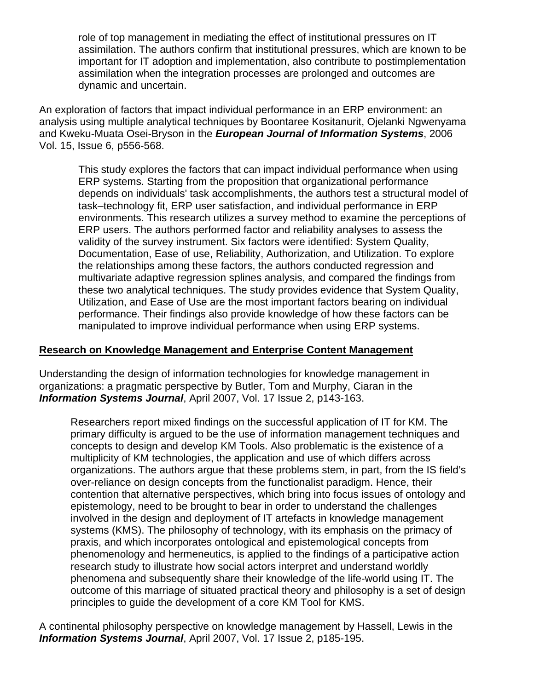role of top management in mediating the effect of institutional pressures on IT assimilation. The authors confirm that institutional pressures, which are known to be important for IT adoption and implementation, also contribute to postimplementation assimilation when the integration processes are prolonged and outcomes are dynamic and uncertain.

An exploration of factors that impact individual performance in an ERP environment: an analysis using multiple analytical techniques by Boontaree Kositanurit, Ojelanki Ngwenyama and Kweku-Muata Osei-Bryson in the *European Journal of Information Systems*, 2006 Vol. 15, Issue 6, p556-568.

This study explores the factors that can impact individual performance when using ERP systems. Starting from the proposition that organizational performance depends on individuals' task accomplishments, the authors test a structural model of task–technology fit, ERP user satisfaction, and individual performance in ERP environments. This research utilizes a survey method to examine the perceptions of ERP users. The authors performed factor and reliability analyses to assess the validity of the survey instrument. Six factors were identified: System Quality, Documentation, Ease of use, Reliability, Authorization, and Utilization. To explore the relationships among these factors, the authors conducted regression and multivariate adaptive regression splines analysis, and compared the findings from these two analytical techniques. The study provides evidence that System Quality, Utilization, and Ease of Use are the most important factors bearing on individual performance. Their findings also provide knowledge of how these factors can be manipulated to improve individual performance when using ERP systems.

#### **Research on Knowledge Management and Enterprise Content Management**

Understanding the design of information technologies for knowledge management in organizations: a pragmatic perspective by Butler, Tom and Murphy, Ciaran in the *Information Systems Journal*, April 2007, Vol. 17 Issue 2, p143-163.

Researchers report mixed findings on the successful application of IT for KM. The primary difficulty is argued to be the use of information management techniques and concepts to design and develop KM Tools. Also problematic is the existence of a multiplicity of KM technologies, the application and use of which differs across organizations. The authors argue that these problems stem, in part, from the IS field's over-reliance on design concepts from the functionalist paradigm. Hence, their contention that alternative perspectives, which bring into focus issues of ontology and epistemology, need to be brought to bear in order to understand the challenges involved in the design and deployment of IT artefacts in knowledge management systems (KMS). The philosophy of technology, with its emphasis on the primacy of praxis, and which incorporates ontological and epistemological concepts from phenomenology and hermeneutics, is applied to the findings of a participative action research study to illustrate how social actors interpret and understand worldly phenomena and subsequently share their knowledge of the life-world using IT. The outcome of this marriage of situated practical theory and philosophy is a set of design principles to guide the development of a core KM Tool for KMS.

A continental philosophy perspective on knowledge management by Hassell, Lewis in the *Information Systems Journal*, April 2007, Vol. 17 Issue 2, p185-195.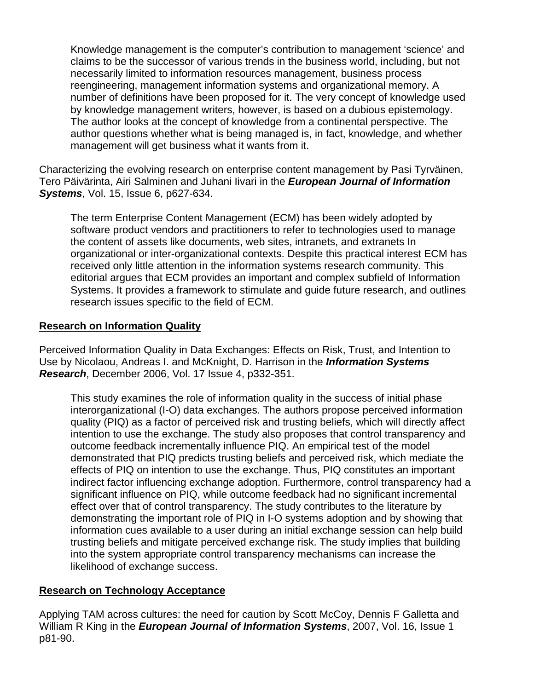Knowledge management is the computer's contribution to management 'science' and claims to be the successor of various trends in the business world, including, but not necessarily limited to information resources management, business process reengineering, management information systems and organizational memory. A number of definitions have been proposed for it. The very concept of knowledge used by knowledge management writers, however, is based on a dubious epistemology. The author looks at the concept of knowledge from a continental perspective. The author questions whether what is being managed is, in fact, knowledge, and whether management will get business what it wants from it.

Characterizing the evolving research on enterprise content management by Pasi Tyrväinen, Tero Päivärinta, Airi Salminen and Juhani Iivari in the *European Journal of Information Systems*, Vol. 15, Issue 6, p627-634.

The term Enterprise Content Management (ECM) has been widely adopted by software product vendors and practitioners to refer to technologies used to manage the content of assets like documents, web sites, intranets, and extranets In organizational or inter-organizational contexts. Despite this practical interest ECM has received only little attention in the information systems research community. This editorial argues that ECM provides an important and complex subfield of Information Systems. It provides a framework to stimulate and guide future research, and outlines research issues specific to the field of ECM.

## **Research on Information Quality**

Perceived Information Quality in Data Exchanges: Effects on Risk, Trust, and Intention to Use by Nicolaou, Andreas I. and McKnight, D. Harrison in the *Information Systems Research*, December 2006, Vol. 17 Issue 4, p332-351.

This study examines the role of information quality in the success of initial phase interorganizational (I-O) data exchanges. The authors propose perceived information quality (PIQ) as a factor of perceived risk and trusting beliefs, which will directly affect intention to use the exchange. The study also proposes that control transparency and outcome feedback incrementally influence PIQ. An empirical test of the model demonstrated that PIQ predicts trusting beliefs and perceived risk, which mediate the effects of PIQ on intention to use the exchange. Thus, PIQ constitutes an important indirect factor influencing exchange adoption. Furthermore, control transparency had a significant influence on PIQ, while outcome feedback had no significant incremental effect over that of control transparency. The study contributes to the literature by demonstrating the important role of PIQ in I-O systems adoption and by showing that information cues available to a user during an initial exchange session can help build trusting beliefs and mitigate perceived exchange risk. The study implies that building into the system appropriate control transparency mechanisms can increase the likelihood of exchange success.

#### **Research on Technology Acceptance**

Applying TAM across cultures: the need for caution by Scott McCoy, Dennis F Galletta and William R King in the *European Journal of Information Systems*, 2007, Vol. 16, Issue 1 p81-90.